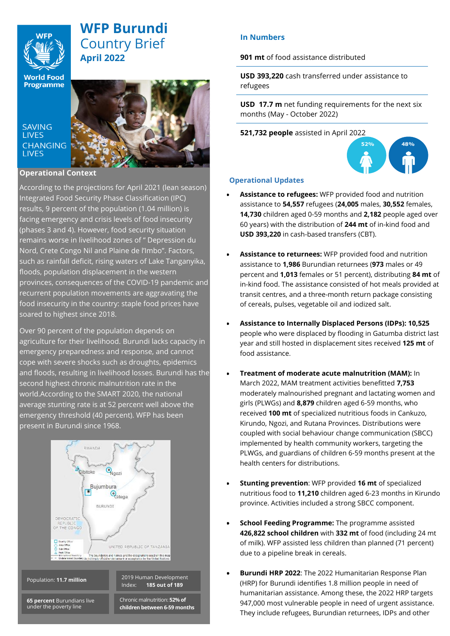

# **WFP Burundi** Country Brief **April 2022**

**World Food Programme** 

**SAVING LIVES CHANGING LIVES** 



## **Operational Context**

According to the projections for April 2021 (lean season) Integrated Food Security Phase Classification (IPC) results, 9 percent of the population (1.04 million) is facing emergency and crisis levels of food insecurity (phases 3 and 4). However, food security situation remains worse in livelihood zones of " Depression du Nord, Crete Congo Nil and Plaine de l'Imbo". Factors, such as rainfall deficit, rising waters of Lake Tanganyika, floods, population displacement in the western provinces, consequences of the COVID-19 pandemic and recurrent population movements are aggravating the food insecurity in the country: staple food prices have soared to highest since 2018.

Over 90 percent of the population depends on agriculture for their livelihood. Burundi lacks capacity in emergency preparedness and response, and cannot cope with severe shocks such as droughts, epidemics and floods, resulting in livelihood losses. Burundi has the second highest chronic malnutrition rate in the world.According to the SMART 2020, the national average stunting rate is at 52 percent well above the emergency threshold (40 percent). WFP has been present in Burundi since 1968.



**65 percent** Burundians live under the poverty line

Chronic malnutrition: **52% of** 

**children between 6-59 months**

# **In Numbers**

**901 mt** of food assistance distributed

**USD 393,220** cash transferred under assistance to refugees

**USD 17.7 m** net funding requirements for the next six months (May - October 2022)

**521,732 people** assisted in April 2022



### **Operational Updates**

- **Assistance to refugees:** WFP provided food and nutrition assistance to **54,557** refugees (**24,005** males, **30,552** females, **14,730** children aged 0-59 months and **2,182** people aged over 60 years) with the distribution of **244 mt** of in-kind food and **USD 393,220** in cash-based transfers (CBT).
- **Assistance to returnees:** WFP provided food and nutrition assistance to **1,986** Burundian returnees (**973** males or 49 percent and **1,013** females or 51 percent), distributing **84 mt** of in-kind food. The assistance consisted of hot meals provided at transit centres, and a three-month return package consisting of cereals, pulses, vegetable oil and iodized salt.
- **Assistance to Internally Displaced Persons (IDPs): 10,525** people who were displaced by flooding in Gatumba district last year and still hosted in displacement sites received **125 mt** of food assistance.
- **Treatment of moderate acute malnutrition (MAM):**  $\ln$ March 2022, MAM treatment activities benefitted **7,753** moderately malnourished pregnant and lactating women and girls (PLWGs) and **8,879** children aged 6-59 months, who received **100 mt** of specialized nutritious foods in Cankuzo, Kirundo, Ngozi, and Rutana Provinces. Distributions were coupled with social behaviour change communication (SBCC) implemented by health community workers, targeting the PLWGs, and guardians of children 6-59 months present at the health centers for distributions.
- **Stunting prevention**: WFP provided **16 mt** of specialized nutritious food to **11,210** children aged 6-23 months in Kirundo province. Activities included a strong SBCC component.
- **School Feeding Programme:** The programme assisted **426,822 school children** with **332 mt** of food (including 24 mt of milk). WFP assisted less children than planned (71 percent) due to a pipeline break in cereals.
- **Burundi HRP 2022**: The 2022 Humanitarian Response Plan (HRP) for Burundi identifies 1.8 million people in need of humanitarian assistance. Among these, the 2022 HRP targets 947,000 most vulnerable people in need of urgent assistance. They include refugees, Burundian returnees, IDPs and other